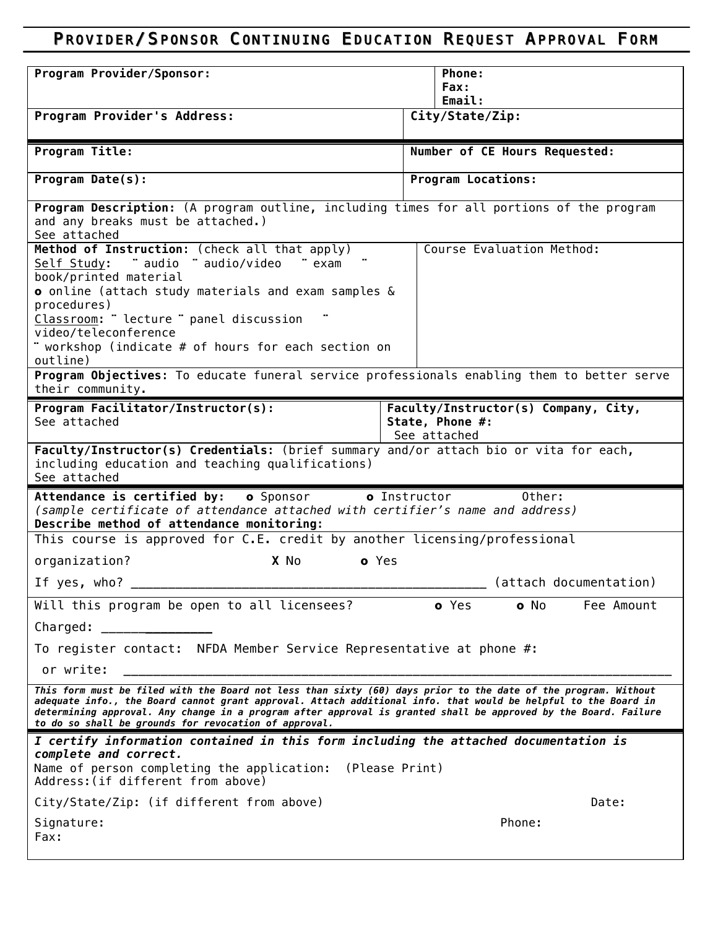## PROVIDER/ SPONSOR CONTINUING EDUCATION REQUEST APPROVAL FORM

| Program Provider/Sponsor:                                                                                                                                                                                                                                                                                                                                                                                    | Phone:                                                                  |  |
|--------------------------------------------------------------------------------------------------------------------------------------------------------------------------------------------------------------------------------------------------------------------------------------------------------------------------------------------------------------------------------------------------------------|-------------------------------------------------------------------------|--|
|                                                                                                                                                                                                                                                                                                                                                                                                              | Fax:                                                                    |  |
| Program Provider's Address:                                                                                                                                                                                                                                                                                                                                                                                  | Email:<br>City/State/Zip:                                               |  |
|                                                                                                                                                                                                                                                                                                                                                                                                              |                                                                         |  |
| Program Title:                                                                                                                                                                                                                                                                                                                                                                                               | Number of CE Hours Requested:                                           |  |
| Program Date(s):                                                                                                                                                                                                                                                                                                                                                                                             | <b>Program Locations:</b>                                               |  |
| Program Description: (A program outline, including times for all portions of the program<br>and any breaks must be attached.)<br>See attached                                                                                                                                                                                                                                                                |                                                                         |  |
| Method of Instruction: (check all that apply)<br>Self Study: " audio " audio/video<br>" exam<br>book/printed material<br>o online (attach study materials and exam samples &<br>procedures)<br>Classroom: "lecture " panel discussion<br>video/teleconference                                                                                                                                                | Course Evaluation Method:                                               |  |
| " workshop (indicate # of hours for each section on<br>outline)                                                                                                                                                                                                                                                                                                                                              |                                                                         |  |
| Program Objectives: To educate funeral service professionals enabling them to better serve<br>their community.                                                                                                                                                                                                                                                                                               |                                                                         |  |
| Program Facilitator/Instructor(s):<br>See attached                                                                                                                                                                                                                                                                                                                                                           | Faculty/Instructor(s) Company, City,<br>State, Phone #:<br>See attached |  |
| Faculty/Instructor(s) Credentials: (brief summary and/or attach bio or vita for each,<br>including education and teaching qualifications)<br>See attached                                                                                                                                                                                                                                                    |                                                                         |  |
| Attendance is certified by: o Sponsor<br>o Instructor<br>Other:<br>(sample certificate of attendance attached with certifier's name and address)<br>Describe method of attendance monitoring:                                                                                                                                                                                                                |                                                                         |  |
| This course is approved for C.E. credit by another licensing/professional                                                                                                                                                                                                                                                                                                                                    |                                                                         |  |
| X No<br>o Yes<br>organization?                                                                                                                                                                                                                                                                                                                                                                               |                                                                         |  |
| If yes, who?                                                                                                                                                                                                                                                                                                                                                                                                 | (attach documentation)                                                  |  |
| Will this program be open to all licensees?                                                                                                                                                                                                                                                                                                                                                                  | o Yes<br>o No<br>Fee Amount                                             |  |
| Charged: <u>________________</u>                                                                                                                                                                                                                                                                                                                                                                             |                                                                         |  |
| To register contact: NFDA Member Service Representative at phone #:                                                                                                                                                                                                                                                                                                                                          |                                                                         |  |
| or write:                                                                                                                                                                                                                                                                                                                                                                                                    |                                                                         |  |
| This form must be filed with the Board not less than sixty (60) days prior to the date of the program. Without<br>adequate info., the Board cannot grant approval. Attach additional info. that would be helpful to the Board in<br>determining approval. Any change in a program after approval is granted shall be approved by the Board. Failure<br>to do so shall be grounds for revocation of approval. |                                                                         |  |
| I certify information contained in this form including the attached documentation is<br>complete and correct.<br>Name of person completing the application: (Please Print)<br>Address: (if different from above)                                                                                                                                                                                             |                                                                         |  |
| City/State/Zip: (if different from above)                                                                                                                                                                                                                                                                                                                                                                    | Date:                                                                   |  |
| Signature:<br>Fax:                                                                                                                                                                                                                                                                                                                                                                                           | Phone:                                                                  |  |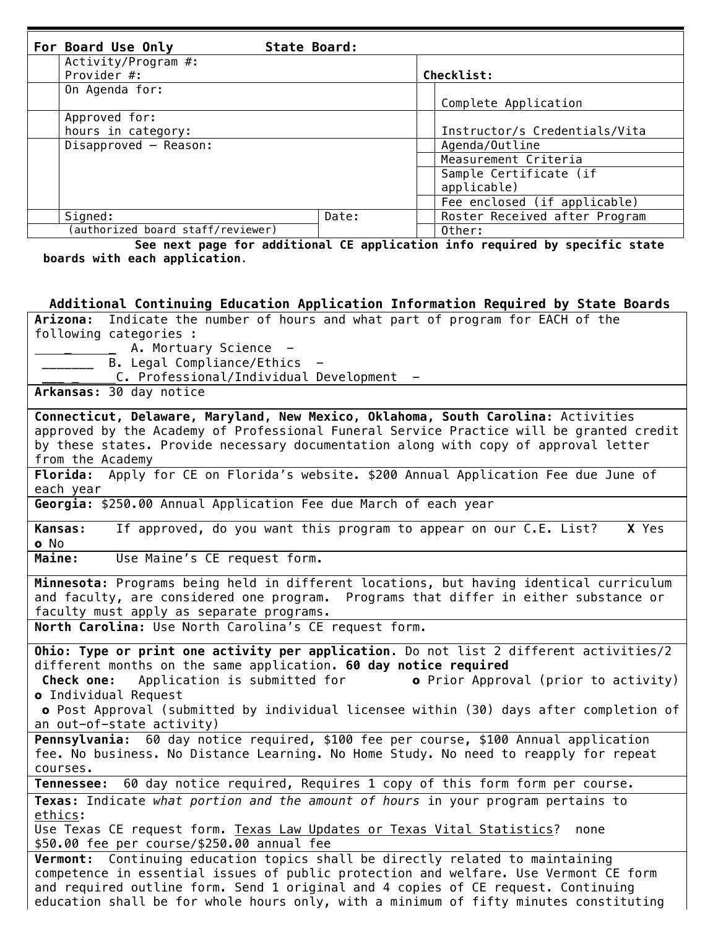| For Board Use Only               | State Board:                 |                               |
|----------------------------------|------------------------------|-------------------------------|
| Activity/Program #:              |                              |                               |
| Provider #:                      |                              | Checklist:                    |
| On Agenda for:                   |                              |                               |
|                                  |                              | Complete Application          |
| Approved for:                    |                              |                               |
| hours in category:               |                              | Instructor/s Credentials/Vita |
| Disapproved - Reason:            | Agenda/Outline               |                               |
|                                  | Measurement Criteria         |                               |
|                                  | Sample Certificate (if       |                               |
|                                  | applicable)                  |                               |
|                                  | Fee enclosed (if applicable) |                               |
| Signed:                          | Date:                        | Roster Received after Program |
| authorized board staff/reviewer) |                              | Other:                        |

 **See next page for additional CE application info required by specific state boards with each application.**

## **Additional Continuing Education Application Information Required by State Boards**

**Arizona:** Indicate the number of hours and what part of program for EACH of the following categories : A. Mortuary Science -B. Legal Compliance/Ethics -\_\_\_ \_C. Professional/Individual Development - **Arkansas:** 30 day notice **Connecticut, Delaware, Maryland, New Mexico, Oklahoma, South Carolina:** Activities approved by the Academy of Professional Funeral Service Practice will be granted credit by these states. Provide necessary documentation along with copy of approval letter from the Academy **Florida:** Apply for CE on Florida's website. \$200 Annual Application Fee due June of each year **Georgia:** \$250.00 Annual Application Fee due March of each year **Kansas:** If approved, do you want this program to appear on our C.E. List? **X** Yes o No **Maine:** Use Maine's CE request form. **Minnesota:** Programs being held in different locations, but having identical curriculum and faculty, are considered one program. Programs that differ in either substance or faculty must apply as separate programs. **North Carolina:** Use North Carolina's CE request form. **Ohio: Type or print one activity per application.** Do not list 2 different activities/2 different months on the same application. **60 day notice required Check one:** Application is submitted for **o** Prior Approval (prior to activity) o Individual Request o Post Approval (submitted by individual licensee within (30) days after completion of an out-of-state activity) **Pennsylvania:** 60 day notice required, \$100 fee per course, \$100 Annual application fee. No business. No Distance Learning. No Home Study. No need to reapply for repeat courses. **Tennessee:** 60 day notice required, Requires 1 copy of this form form per course. **Texas:** Indicate *what portion and the amount of hours* in your program pertains to ethics: Use Texas CE request form. Texas Law Updates or Texas Vital Statistics? none \$50.00 fee per course/\$250.00 annual fee **Vermont:** Continuing education topics shall be directly related to maintaining competence in essential issues of public protection and welfare. Use Vermont CE form and required outline form. Send 1 original and 4 copies of CE request. Continuing education shall be for whole hours only, with a minimum of fifty minutes constituting